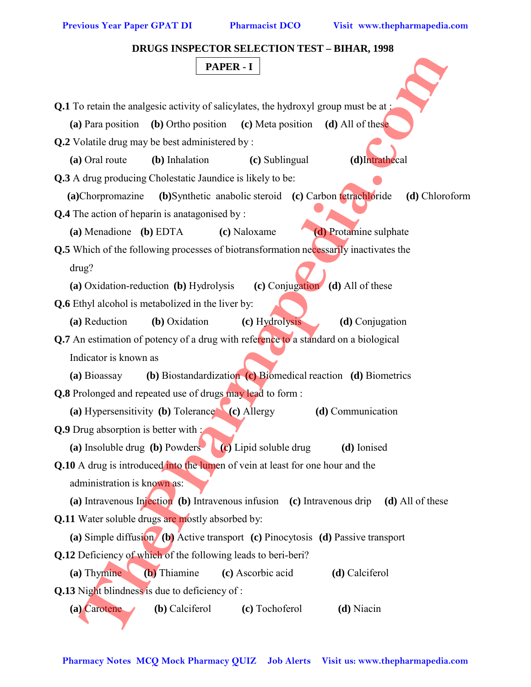**DRUGS INSPECTOR SELECTION TEST – BIHAR, 1998**

## **PAPER - I**

| <b>PAPER - I</b>                                                                              |
|-----------------------------------------------------------------------------------------------|
|                                                                                               |
| <b>Q.1</b> To retain the analgesic activity of salicylates, the hydroxyl group must be at:    |
| (a) Para position (b) Ortho position (c) Meta position (d) All of these                       |
| Q.2 Volatile drug may be best administered by :                                               |
| (a) Oral route<br>(b) Inhalation<br>(c) Sublingual<br>(d)Intrathecal                          |
| <b>Q.3</b> A drug producing Cholestatic Jaundice is likely to be:                             |
| (a)Chorpromazine<br>(b) Synthetic anabolic steroid (c) Carbon tetrachloride<br>(d) Chloroform |
| <b>Q.4</b> The action of heparin is anatagonised by :                                         |
| (d) Protamine sulphate<br>(a) Menadione (b) EDTA<br>(c) Naloxame                              |
| <b>Q.5</b> Which of the following processes of biotransformation necessarily inactivates the  |
| drug?                                                                                         |
| (c) Conjugation (d) All of these<br>(a) Oxidation-reduction (b) Hydrolysis                    |
| Q.6 Ethyl alcohol is metabolized in the liver by:                                             |
| (a) Reduction<br>(b) Oxidation<br>(c) Hydrolysis<br>(d) Conjugation                           |
| Q.7 An estimation of potency of a drug with reference to a standard on a biological           |
| Indicator is known as                                                                         |
| (b) Biostandardization (c) Biomedical reaction (d) Biometrics<br>(a) Bioassay                 |
| <b>Q.8</b> Prolonged and repeated use of drugs may lead to form:                              |
| (a) Hypersensitivity (b) Tolerance (c) Allergy<br>(d) Communication                           |
| <b>Q.9</b> Drug absorption is better with :                                                   |
| (a) Insoluble drug (b) Powders (c) Lipid soluble drug<br>(d) Ionised                          |
| Q.10 A drug is introduced into the lumen of vein at least for one hour and the                |
| administration is known as:                                                                   |
| (a) Intravenous Injection (b) Intravenous infusion (c) Intravenous drip (d) All of these      |
| Q.11 Water soluble drugs are mostly absorbed by:                                              |
| (a) Simple diffusion (b) Active transport (c) Pinocytosis (d) Passive transport               |
| <b>Q.12</b> Deficiency of which of the following leads to beri-beri?                          |
| (b) Thiamine<br>(a) Thymine<br>(c) Ascorbic acid<br>(d) Calciferol                            |
| Q.13 Night blindness is due to deficiency of:                                                 |
| (b) Calciferol<br>(c) Tochoferol<br>(d) Niacin<br>(a) Carotene                                |
|                                                                                               |
|                                                                                               |
| Pharmacy Notes MCQ Mock Pharmacy QUIZ Job Alerts Visit us: www.thepharmapedia.com             |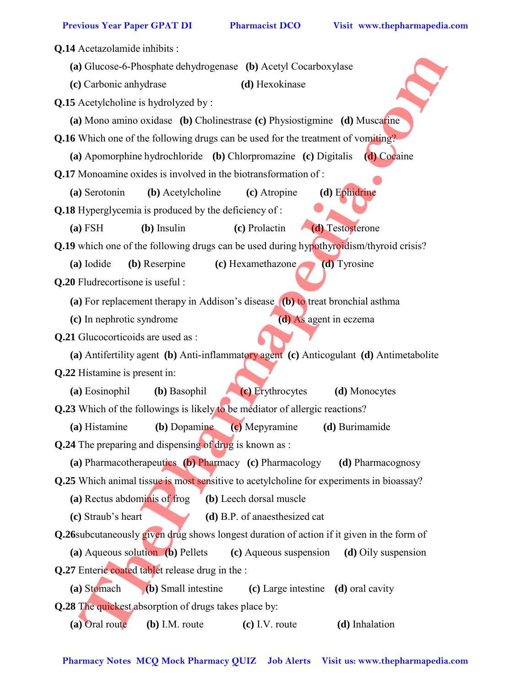**Q.14** Acetazolamide inhibits : **(a)** Glucose-6-Phosphate dehydrogenase **(b)** Acetyl Cocarboxylase **(c)** Carbonic anhydrase **(d)** Hexokinase **Q.15** Acetylcholine is hydrolyzed by : **(a)** Mono amino oxidase **(b)** Cholinestrase **(c)** Physiostigmine **(d)** Muscarine **Q.16** Which one of the following drugs can be used for the treatment of vomiting? **(a)** Apomorphine hydrochloride **(b)** Chlorpromazine **(c)** Digitalis **(d)** Cocaine **Q.17** Monoamine oxides is involved in the biotransformation of : **(a)** Serotonin **(b)** Acetylcholine **(c)** Atropine **(d)** Ephidrine **Q.18** Hyperglycemia is produced by the deficiency of : **(a)** FSH **(b)** Insulin **(c)** Prolactin **(d)** Testosterone **Q.19** which one of the following drugs can be used during hypothyroidism/thyroid crisis? **(a)** Iodide **(b)** Reserpine **(c)** Hexamethazone **(d)** Tyrosine **Q.20** Fludrecortisone is useful : **(a)** For replacement therapy in Addison's disease **(b)** to treat bronchial asthma **(c)** In nephrotic syndrome **(d)** As agent in eczema **Q.21** Glucocorticoids are used as : **(a)** Antifertility agent **(b)** Anti-inflammatory agent **(c)** Anticogulant **(d)** Antimetabolite **Q.22** Histamine is present in: **(a)** Eosinophil **(b)** Basophil **(c)** Erythrocytes **(d)** Monocytes **Q.23** Which of the followings is likely to be mediator of allergic reactions? **(a)** Histamine **(b)** Dopamine **(c)** Mepyramine **(d)** Burimamide **Q.24** The preparing and dispensing of drug is known as : **(a)** Pharmacotherapeutics **(b)** Pharmacy **(c)** Pharmacology **(d)** Pharmacognosy **Q.25** Which animal tissue is most sensitive to acetylcholine for experiments in bioassay? **(a)** Rectus abdominis of frog **(b)** Leech dorsal muscle **(c)** Straub's heart **(d)** B.P. of anaesthesized cat **Q.26**subcutaneously given drug shows longest duration of action if it given in the form of **(a)** Aqueous solution **(b)** Pellets **(c)** Aqueous suspension **(d)** Oily suspension **Q.27** Enteric coated tablet release drug in the : **(a)** Stomach **(b)** Small intestine **(c)** Large intestine **(d)** oral cavity **Q.28** The quickest absorption of drugs takes place by: **(a)** Oral route **(b)** I.M. route **(c)** I.V. route **(d)** Inhalation **Pharmach Constrainers** (a) Acceptions (a) Theoretical State Columnic Constrainers (b) Accepts (a) Moscowicz (a) Monomine oxiotates (b) Cholinestrates (c) Physiostigmine (d) Moscowicz<br> **L6** Which one of the following drugs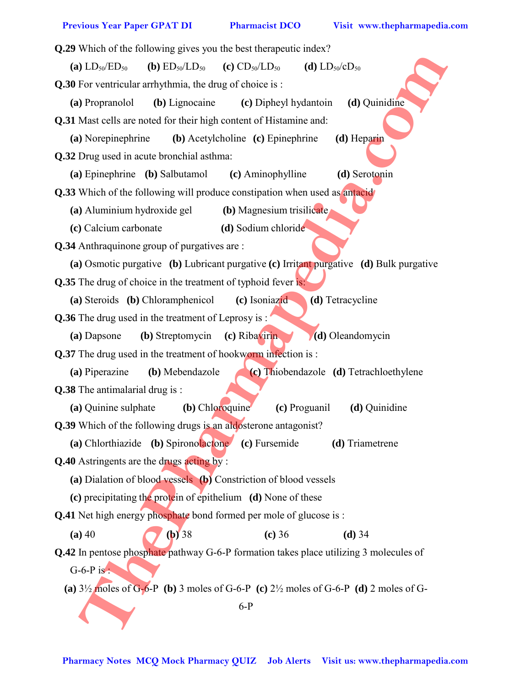| Q.29 Which of the following gives you the best therapeutic index?                                          |
|------------------------------------------------------------------------------------------------------------|
| <b>(b)</b> $ED_{50}/LD_{50}$<br>(a) $LD_{50}/ED_{50}$<br>(c) $CD_{50}/LD_{50}$<br>(d) $LD_{50}/cD_{50}$    |
| <b>Q.30</b> For ventricular arrhythmia, the drug of choice is:                                             |
| (d) Quinidine<br>(b) Lignocaine<br>(c) Dipheyl hydantoin<br>(a) Propranolol                                |
| Q.31 Mast cells are noted for their high content of Histamine and:                                         |
| (a) Norepinephrine<br>(b) Acetylcholine (c) Epinephrine<br>(d) Heparin                                     |
| Q.32 Drug used in acute bronchial asthma:                                                                  |
| (a) Epinephrine (b) Salbutamol<br>(d) Serotonin<br>(c) Aminophylline                                       |
| <b>Q.33</b> Which of the following will produce constipation when used as antacidently                     |
| (b) Magnesium trisilicate<br>(a) Aluminium hydroxide gel                                                   |
| (d) Sodium chloride<br>(c) Calcium carbonate                                                               |
| Q.34 Anthraquinone group of purgatives are:                                                                |
| (a) Osmotic purgative (b) Lubricant purgative (c) Irritant purgative (d) Bulk purgative                    |
| Q.35 The drug of choice in the treatment of typhoid fever is:                                              |
| (c) Isoniazid<br>(a) Steroids (b) Chloramphenicol<br>(d) Tetracycline                                      |
| <b>Q.36</b> The drug used in the treatment of Leprosy is:                                                  |
| (b) Streptomycin (c) Ribavirin<br>(d) Oleandomycin<br>(a) Dapsone                                          |
| <b>Q.37</b> The drug used in the treatment of hookworm infection is :                                      |
| (b) Mebendazole<br>(c) Thiobendazole (d) Tetrachloethylene<br>(a) Piperazine                               |
| Q.38 The antimalarial drug is:                                                                             |
| (a) Quinine sulphate<br>(b) Chloroquine<br>(c) Proguanil<br>(d) Quinidine                                  |
| Q.39 Which of the following drugs is an aldosterone antagonist?                                            |
| (a) Chlorthiazide (b) Spironolactone (c) Fursemide<br>(d) Triametrene                                      |
| <b>Q.40</b> Astringents are the drugs <b>acting</b> by:                                                    |
| (a) Dialation of blood vessels (b) Constriction of blood vessels                                           |
| (c) precipitating the protein of epithelium (d) None of these                                              |
| Q.41 Net high energy phosphate bond formed per mole of glucose is:                                         |
| $(a)$ 40<br>$(b)$ 38<br>(c) 36<br>$(d)$ 34                                                                 |
| Q.42 In pentose phosphate pathway G-6-P formation takes place utilizing 3 molecules of                     |
| G-6-P is:                                                                                                  |
| (a) $3\frac{1}{2}$ moles of G-6-P (b) 3 moles of G-6-P (c) $2\frac{1}{2}$ moles of G-6-P (d) 2 moles of G- |
| $6-P$                                                                                                      |
| Pharmacy Notes MCQ Mock Pharmacy QUIZ Job Alerts Visit us: www.thepharmapedia.com                          |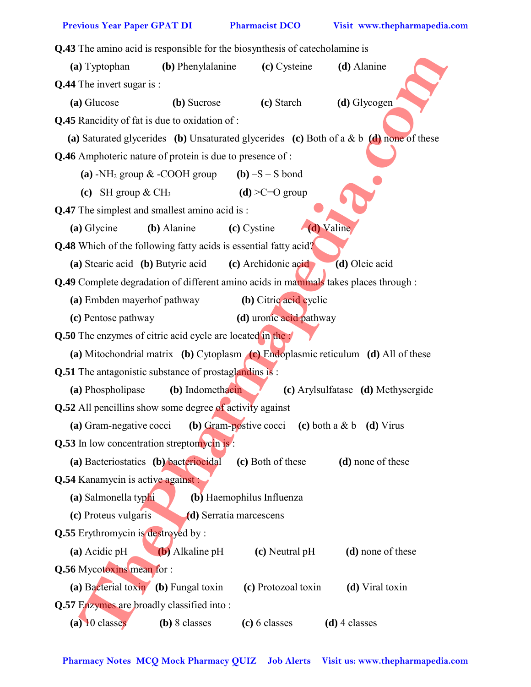**Q.43** The amino acid is responsible for the biosynthesis of catecholamine is **(a)** Typtophan **(b)** Phenylalanine **(c)** Cysteine **(d)** Alanine **Q.44** The invert sugar is : **(a)** Glucose **(b)** Sucrose **(c)** Starch **(d)** Glycogen **Q.45** Rancidity of fat is due to oxidation of : **(a)** Saturated glycerides **(b)** Unsaturated glycerides **(c)** Both of a & b **(d)** none of these **Q.46** Amphoteric nature of protein is due to presence of : (a)  $-NH_2$  group  $\&$  -COOH group (b)  $-S-S$  bond **(c)** –SH group & CH<sub>3</sub> **(d)**  $>C=O$  group **Q.47** The simplest and smallest amino acid is : **(a)** Glycine **(b)** Alanine **(c)** Cystine **(d)** Valine **Q.48** Which of the following fatty acids is essential fatty acid? **(a)** Stearic acid **(b)** Butyric acid **(c)** Archidonic acid **(d)** Oleic acid **Q.49** Complete degradation of different amino acids in mammals takes places through : **(a)** Embden mayerhof pathway **(b)** Citric acid cyclic **(c)** Pentose pathway **(d)** uronic acid pathway **Q.50** The enzymes of citric acid cycle are located in the : **(a)** Mitochondrial matrix **(b)** Cytoplasm **(c)** Endoplasmic reticulum **(d)** All of these **Q.51** The antagonistic substance of prostaglandins is : **(a)** Phospholipase **(b)** Indomethacin **(c)** Arylsulfatase **(d)** Methysergide **Q.52** All pencillins show some degree of activity against **(a)** Gram-negative cocci **(b)** Gram-postive cocci **(c)** both a & b **(d)** Virus **Q.53** In low concentration streptomycin is: **(a)** Bacteriostatics **(b)** bacteriocidal **(c)** Both of these **(d)** none of these **Q.54** Kanamycin is active against : **(a)** Salmonella typhi **(b)** Haemophilus Influenza **(c)** Proteus vulgaris **(d)** Serratia marcescens **Q.55** Erythromycin is destroyed by : **(a)** Acidic pH **(b)** Alkaline pH **(c)** Neutral pH **(d)** none of these **Q.56** Mycotoxins mean for : **(a)** Bacterial toxin **(b)** Fungal toxin **(c)** Protozoal toxin **(d)** Viral toxin **Q.57** Enzymes are broadly classified into : **(a)** 10 classes **(b)** 8 classes **(c)** 6 classes **(d)** 4 classes **Pharmacy Notes McCause Controllates MCQ Monthland (a) Controllates MCQ Monthland McCause Controllates MCQ Monthland Systems (b) Unstanting given the state of persons of the state of the state of the state of the state of**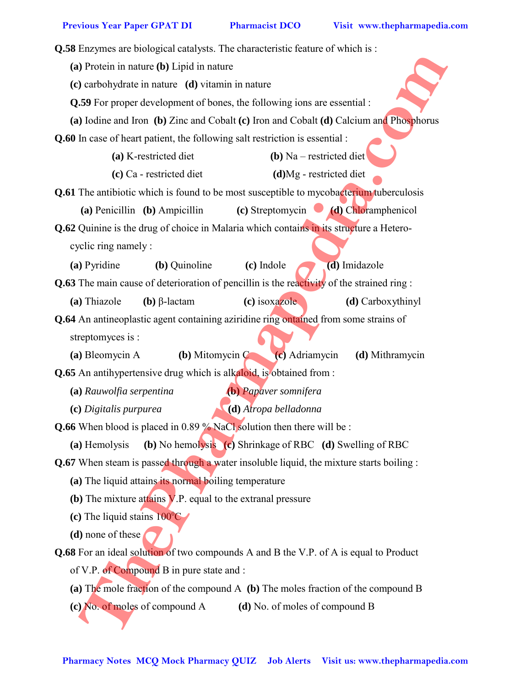**Q.58** Enzymes are biological catalysts. The characteristic feature of which is : **(a)** Protein in nature **(b)** Lipid in nature **(c)** carbohydrate in nature **(d)** vitamin in nature **Q.59** For proper development of bones, the following ions are essential : **(a)** Iodine and Iron **(b)** Zinc and Cobalt **(c)** Iron and Cobalt **(d)** Calcium and Phosphorus **Q.60** In case of heart patient, the following salt restriction is essential :  **(a)** K-restricted diet **(b)** Na – restricted diet  **(c)** Ca - restricted diet **(d)**Mg - restricted diet **Q.61** The antibiotic which is found to be most susceptible to mycobacterium tuberculosis **(a)** Penicillin **(b)** Ampicillin **(c)** Streptomycin **(d)** Chloramphenicol **Q.62** Quinine is the drug of choice in Malaria which contains in its structure a Heterocyclic ring namely : **(a)** Pyridine **(b)** Quinoline **(c)** Indole **(d)** Imidazole **Q.63** The main cause of deterioration of pencillin is the reactivity of the strained ring : **(a)** Thiazole **(b)** β-lactam **(c)** isoxazole **(d)** Carboxythinyl **Q.64** An antineoplastic agent containing aziridine ring ontained from some strains of streptomyces is : **(a)** Bleomycin A **(b)** Mitomycin C **(c)** Adriamycin **(d)** Mithramycin **Q.65** An antihypertensive drug which is alkaloid, is obtained from : **(a)** *Rauwolfia serpentina* **(b)** *Papaver somnifera* **(c)** *Digitalis purpurea* **(d)** *Atropa belladonna* **Q.66** When blood is placed in 0.89 % NaCl solution then there will be : **(a)** Hemolysis **(b)** No hemolysis **(c)** Shrinkage of RBC **(d)** Swelling of RBC **Q.67** When steam is passed through a water insoluble liquid, the mixture starts boiling : **(a)** The liquid attains its normal boiling temperature **(b)** The mixture attains V.P. equal to the extranal pressure (c) The liquid stains  $100^{\circ}$ C **(d)** none of these **Q.68** For an ideal solution of two compounds A and B the V.P. of A is equal to Product of V.P. of Compound B in pure state and : **(a)** The mole fraction of the compound A **(b)** The moles fraction of the compound B **(c)** No. of moles of compound A **(d)** No. of moles of compound B **Photon in nature (b)** Figud in nature<br> **C**) can be compared and the comparison of the following ions are essential:<br> **Q)** fodine and the figure distributions, the following ions are essential:<br> **Ca**) Be for myon distribu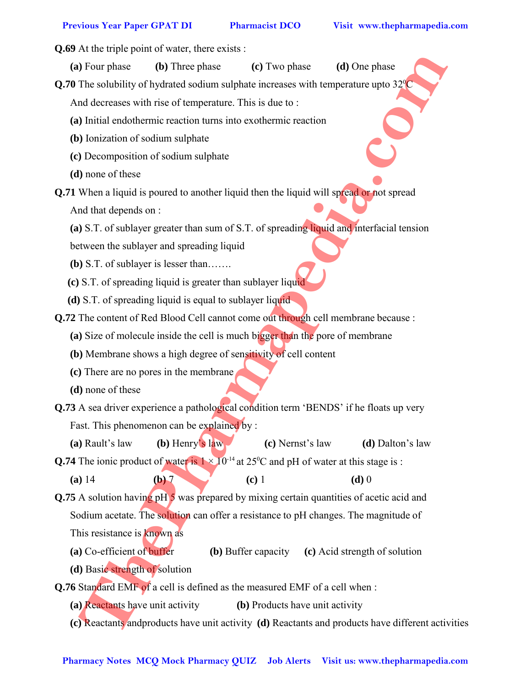**Q.69** At the triple point of water, there exists :

**(a)** Four phase **(b)** Three phase **(c)** Two phase **(d)** One phase

**Q.70** The solubility of hydrated sodium sulphate increases with temperature upto  $32^{\circ}$ C

And decreases with rise of temperature. This is due to :

**(a)** Initial endothermic reaction turns into exothermic reaction

- **(b)** Ionization of sodium sulphate
- **(c)** Decomposition of sodium sulphate
- **(d)** none of these

**Q.71** When a liquid is poured to another liquid then the liquid will spread or not spread

And that depends on :

**(a)** S.T. of sublayer greater than sum of S.T. of spreading liquid and interfacial tension

between the sublayer and spreading liquid

**(b)** S.T. of sublayer is lesser than…….

- **(c)** S.T. of spreading liquid is greater than sublayer liquid
- **(d)** S.T. of spreading liquid is equal to sublayer liquid

**Q.72** The content of Red Blood Cell cannot come out through cell membrane because :

**(a)** Size of molecule inside the cell is much bigger than the pore of membrane

- **(b)** Membrane shows a high degree of sensitivity of cell content
- **(c)** There are no pores in the membrane
- **(d)** none of these
- **Q.73** A sea driver experience a pathological condition term 'BENDS' if he floats up very Fast. This phenomenon can be explained by :
	- **(a)** Rault's law **(b)** Henry's law **(c)** Nernst's law **(d)** Dalton's law

**Q.74** The ionic product of water is  $1 \times 10^{-14}$  at 25<sup>o</sup>C and pH of water at this stage is :

**(a)** 14 **(b)** 7 **(c)** 1 **(d)** 0

**Q.75** A solution having pH 5 was prepared by mixing certain quantities of acetic acid and Sodium acetate. The solution can offer a resistance to pH changes. The magnitude of This resistance is known as **Pharmacy Notes McCannon and Constrainers** (a) The signal of the state of the state of the state of the state of the state of the state of the state of the state of the state of the state of the state of the state of the s

**(a)** Co-efficient of buffer **(b)** Buffer capacity **(c)** Acid strength of solution

**(d)** Basic strength of solution

**Q.76** Standard EMF of a cell is defined as the measured EMF of a cell when :

- **(a)** Reactants have unit activity **(b)** Products have unit activity
- **(c)** Reactants andproducts have unit activity **(d)** Reactants and products have different activities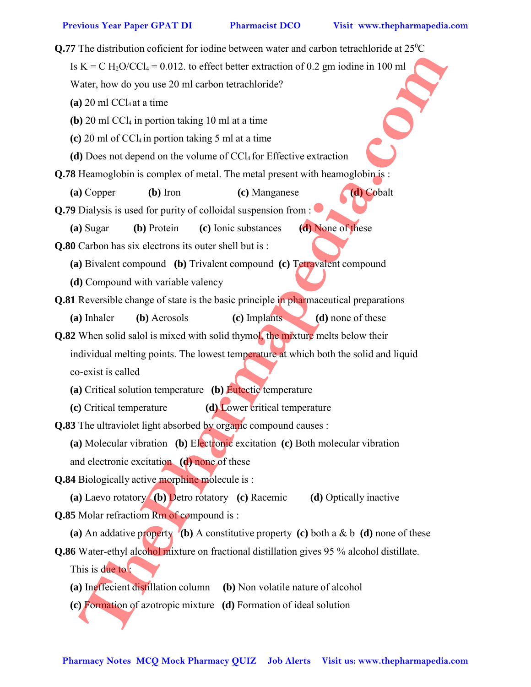**Q.77** The distribution coficient for iodine between water and carbon tetrachloride at  $25^{\circ}$ C Is  $K = C H_2O/CCI_4 = 0.012$ . to effect better extraction of 0.2 gm iodine in 100 ml Water, how do you use 20 ml carbon tetrachloride?  $(a)$  20 ml CCl<sub>4</sub> at a time **(b)**  $20 \text{ ml } CCl_4$  in portion taking  $10 \text{ ml}$  at a time **(c)** 20 ml of CCl4 in portion taking 5 ml at a time **(d)** Does not depend on the volume of CCl4 for Effective extraction **Q.78** Heamoglobin is complex of metal. The metal present with heamoglobin is : **(a)** Copper **(b)** Iron **(c)** Manganese **(d)** Cobalt **Q.79** Dialysis is used for purity of colloidal suspension from : **(a)** Sugar **(b)** Protein **(c)** Ionic substances **(d)** None of these **Q.80** Carbon has six electrons its outer shell but is : **(a)** Bivalent compound **(b)** Trivalent compound **(c)** Tetravalent compound **(d)** Compound with variable valency **Q.81** Reversible change of state is the basic principle in pharmaceutical preparations **(a)** Inhaler **(b)** Aerosols **(c)** Implants **(d)** none of these **Q.82** When solid salol is mixed with solid thymol, the mixture melts below their individual melting points. The lowest temperature at which both the solid and liquid co-exist is called **(a)** Critical solution temperature **(b)** Eutectic temperature **(c)** Critical temperature **(d)** Lower critical temperature **Q.83** The ultraviolet light absorbed by organic compound causes : **(a)** Molecular vibration **(b)** Electronic excitation **(c)** Both molecular vibration and electronic excitation **(d)** none of these **Q.84** Biologically active morphine molecule is : **(a)** Laevo rotatory **(b)** Detro rotatory **(c)** Racemic **(d)** Optically inactive **Q.85** Molar refractiom Rm of compound is : **(a)** An addative property **(b)** A constitutive property **(c)** both a & b **(d)** none of these **Q.86** Water-ethyl alcohol mixture on fractional distillation gives 95 % alcohol distillate. This is due to : **(a)** Ineffecient distillation column **(b)** Non volatile nature of alcohol **(c)** Formation of azotropic mixture **(d)** Formation of ideal solution **Pharmacy Note Alert 200** and the state of the state of the state of the state (**p**) and the state (**p**) and the state (**p**) and the state (**P**) and the state (**P**) and the state (**P**) and the state (**P**) and the state (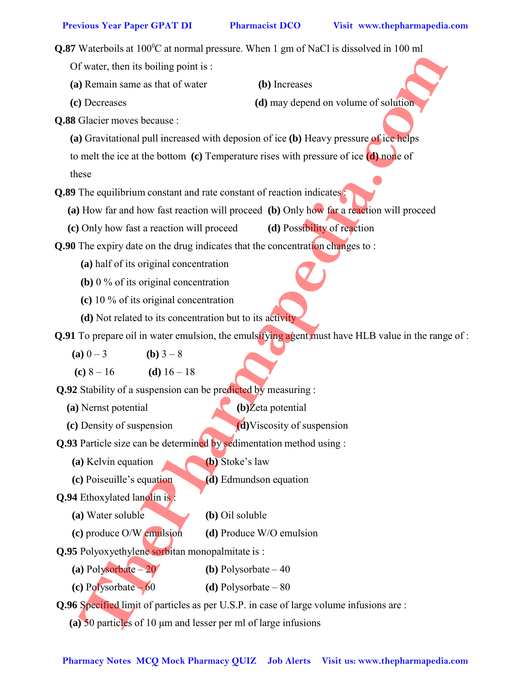Q.87 Waterboils at 100°C at normal pressure. When 1 gm of NaCl is dissolved in 100 ml Of water, then its boiling point is : **(a)** Remain same as that of water **(b)** Increases **(c)** Decreases **(d)** may depend on volume of solution **Q.88** Glacier moves because : **(a)** Gravitational pull increased with deposion of ice **(b)** Heavy pressure of ice helps to melt the ice at the bottom **(c)** Temperature rises with pressure of ice **(d)** none of these **Q.89** The equilibrium constant and rate constant of reaction indicates **(a)** How far and how fast reaction will proceed **(b)** Only how far a reaction will proceed **(c)** Only how fast a reaction will proceed **(d)** Possibility of reaction **Q.90** The expiry date on the drug indicates that the concentration changes to : **(a)** half of its original concentration **(b)** 0 % of its original concentration **(c)** 10 % of its original concentration **(d)** Not related to its concentration but to its activity **Q.91** To prepare oil in water emulsion, the emulsifying agent must have HLB value in the range of : **(a)**  $0 - 3$  **(b)**  $3 - 8$ **(c)**  $8 - 16$  **(d)**  $16 - 18$ **Q.92** Stability of a suspension can be predicted by measuring : **(a)** Nernst potential **(b)**Zeta potential **(c)** Density of suspension **(d)**Viscosity of suspension **Q.93** Particle size can be determined by sedimentation method using : **(a)** Kelvin equation **(b)** Stoke's law **(c)** Poiseuille's equation **(d)** Edmundson equation **Q.94** Ethoxylated lanolin is : **(a)** Water soluble **(b)** Oil soluble **(c)** produce O/W emulsion **(d)** Produce W/O emulsion **Q.95** Polyoxyethylene sorbitan monopalmitate is : **(a)**  $\text{Polysorbate} - 20$  **(b)**  $\text{Polysorbate} - 40$ **(c)** Polysorbate – 60 **(d)** Polysorbate – 80 **Q.96** Specified limit of particles as per U.S.P. in case of large volume infusions are : **Pharmacy Notes McCause Application**<br> **Pharmacy Notes McCause 2**<br> **Pharmacy Notes McCause 2**<br> **Pharmacy Notes McCause 2**<br> **Pharmacy Notes McCause 2**<br> **Pharmacy Notes McCause 2**<br> **Pharmacy Notes Cause 2**<br> **Pharmacy Notes A** 

**(a)** 50 particles of 10 μm and lesser per ml of large infusions